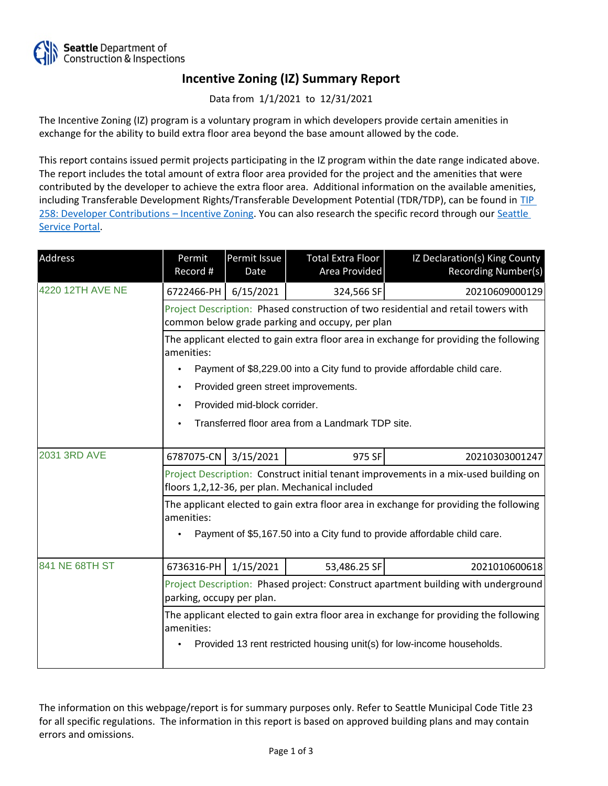

## **Incentive Zoning (IZ) Summary Report**

Data from 1/1/2021 to 12/31/2021

The Incentive Zoning (IZ) program is a voluntary program in which developers provide certain amenities in exchange for the ability to build extra floor area beyond the base amount allowed by the code.

This report contains issued permit projects participating in the IZ program within the date range indicated above. The report includes the total amount of extra floor area provided for the project and the amenities that were contributed by the developer to achieve the extra floor area. Additional information on the available amenities, including Transferable Development Rights/Transferable Development Potential (TDR/TDP), can be found in [TIP](http://www.seattle.gov/DPD/Publications/CAM/Tip258.pdf)  [258: Developer Contributions](http://www.seattle.gov/DPD/Publications/CAM/Tip258.pdf) [–](http://www.seattle.gov/DPD/Publications/CAM/Tip258.pdf) [Incentive Zoning.](http://www.seattle.gov/DPD/Publications/CAM/Tip258.pdf) You can also research the specific record through our [Seattle](https://cosaccela.seattle.gov/portal/welcome.aspx)  [Service Portal](https://cosaccela.seattle.gov/portal/welcome.aspx).

| Address             | Permit<br>Record #                                                                                                                      | Permit Issue<br>Date | Total Extra Floor<br>Area Provided | IZ Declaration(s) King County<br><b>Recording Number(s)</b> |  |  |
|---------------------|-----------------------------------------------------------------------------------------------------------------------------------------|----------------------|------------------------------------|-------------------------------------------------------------|--|--|
| 4220 12TH AVE NE    | 6722466-PH                                                                                                                              | 6/15/2021            | 324,566 SF                         | 20210609000129                                              |  |  |
|                     | Project Description: Phased construction of two residential and retail towers with<br>common below grade parking and occupy, per plan   |                      |                                    |                                                             |  |  |
|                     | The applicant elected to gain extra floor area in exchange for providing the following<br>amenities:                                    |                      |                                    |                                                             |  |  |
|                     | Payment of \$8,229.00 into a City fund to provide affordable child care.                                                                |                      |                                    |                                                             |  |  |
|                     | Provided green street improvements.<br>$\bullet$                                                                                        |                      |                                    |                                                             |  |  |
|                     | Provided mid-block corrider.                                                                                                            |                      |                                    |                                                             |  |  |
|                     | Transferred floor area from a Landmark TDP site.                                                                                        |                      |                                    |                                                             |  |  |
| <b>2031 3RD AVE</b> | 6787075-CN                                                                                                                              | 3/15/2021            | 975 SF                             | 20210303001247                                              |  |  |
|                     | Project Description: Construct initial tenant improvements in a mix-used building on<br>floors 1,2,12-36, per plan. Mechanical included |                      |                                    |                                                             |  |  |
|                     | The applicant elected to gain extra floor area in exchange for providing the following<br>amenities:                                    |                      |                                    |                                                             |  |  |
|                     | Payment of \$5,167.50 into a City fund to provide affordable child care.                                                                |                      |                                    |                                                             |  |  |
| 841 NE 68TH ST      | 6736316-PH                                                                                                                              | 1/15/2021            | 53,486.25 SF                       | 2021010600618                                               |  |  |
|                     | Project Description: Phased project: Construct apartment building with underground<br>parking, occupy per plan.                         |                      |                                    |                                                             |  |  |
|                     | The applicant elected to gain extra floor area in exchange for providing the following<br>amenities:                                    |                      |                                    |                                                             |  |  |
|                     | Provided 13 rent restricted housing unit(s) for low-income households.                                                                  |                      |                                    |                                                             |  |  |

The information on this webpage/report is for summary purposes only. Refer to Seattle Municipal Code Title 23 for all specific regulations. The information in this report is based on approved building plans and may contain errors and omissions.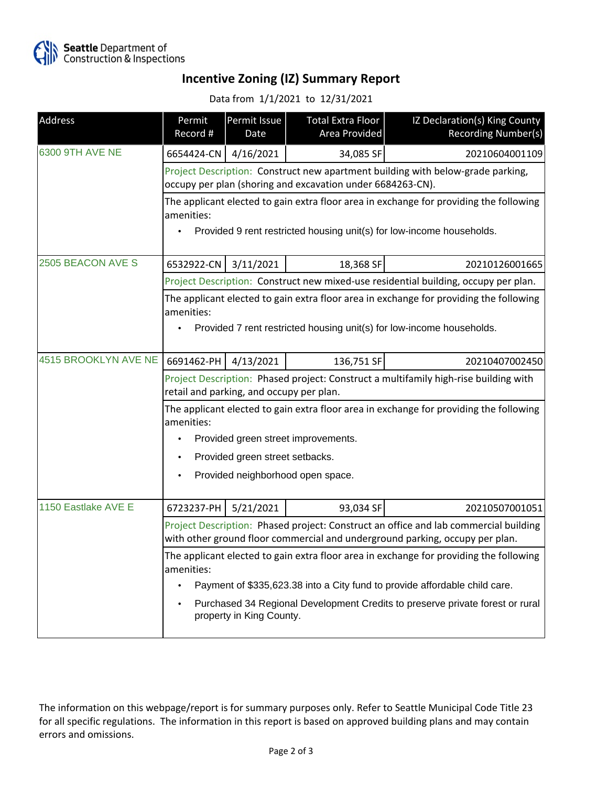

## **Incentive Zoning (IZ) Summary Report**

## Data from 1/1/2021 to 12/31/2021

| Address              | Permit<br>Record #                                                                                                                                                   | Permit Issue<br>Date | <b>Total Extra Floor</b><br>Area Provided | IZ Declaration(s) King County<br><b>Recording Number(s)</b> |  |  |
|----------------------|----------------------------------------------------------------------------------------------------------------------------------------------------------------------|----------------------|-------------------------------------------|-------------------------------------------------------------|--|--|
| 6300 9TH AVE NE      | 6654424-CN                                                                                                                                                           | 4/16/2021            | 34,085 SF                                 | 20210604001109                                              |  |  |
|                      | Project Description: Construct new apartment building with below-grade parking,<br>occupy per plan (shoring and excavation under 6684263-CN).                        |                      |                                           |                                                             |  |  |
|                      | The applicant elected to gain extra floor area in exchange for providing the following<br>amenities:                                                                 |                      |                                           |                                                             |  |  |
|                      | Provided 9 rent restricted housing unit(s) for low-income households.                                                                                                |                      |                                           |                                                             |  |  |
| 2505 BEACON AVE S    | 6532922-CN                                                                                                                                                           | 3/11/2021            | 18,368 SF                                 | 20210126001665                                              |  |  |
|                      | Project Description: Construct new mixed-use residential building, occupy per plan.                                                                                  |                      |                                           |                                                             |  |  |
|                      | The applicant elected to gain extra floor area in exchange for providing the following<br>amenities:                                                                 |                      |                                           |                                                             |  |  |
|                      | Provided 7 rent restricted housing unit(s) for low-income households.                                                                                                |                      |                                           |                                                             |  |  |
| 4515 BROOKLYN AVE NE | 6691462-PH                                                                                                                                                           | 4/13/2021            | 136,751 SF                                | 20210407002450                                              |  |  |
|                      | Project Description: Phased project: Construct a multifamily high-rise building with<br>retail and parking, and occupy per plan.                                     |                      |                                           |                                                             |  |  |
|                      | The applicant elected to gain extra floor area in exchange for providing the following<br>amenities:                                                                 |                      |                                           |                                                             |  |  |
|                      | Provided green street improvements.                                                                                                                                  |                      |                                           |                                                             |  |  |
|                      | Provided green street setbacks.                                                                                                                                      |                      |                                           |                                                             |  |  |
|                      | Provided neighborhood open space.                                                                                                                                    |                      |                                           |                                                             |  |  |
| 1150 Eastlake AVE E  | 6723237-PH                                                                                                                                                           | 5/21/2021            | 93,034 SF                                 | 20210507001051                                              |  |  |
|                      | Project Description: Phased project: Construct an office and lab commercial building<br>with other ground floor commercial and underground parking, occupy per plan. |                      |                                           |                                                             |  |  |
|                      | The applicant elected to gain extra floor area in exchange for providing the following<br>amenities:                                                                 |                      |                                           |                                                             |  |  |
|                      | Payment of \$335,623.38 into a City fund to provide affordable child care.<br>٠                                                                                      |                      |                                           |                                                             |  |  |
|                      | Purchased 34 Regional Development Credits to preserve private forest or rural<br>property in King County.                                                            |                      |                                           |                                                             |  |  |

The information on this webpage/report is for summary purposes only. Refer to Seattle Municipal Code Title 23 for all specific regulations. The information in this report is based on approved building plans and may contain errors and omissions.